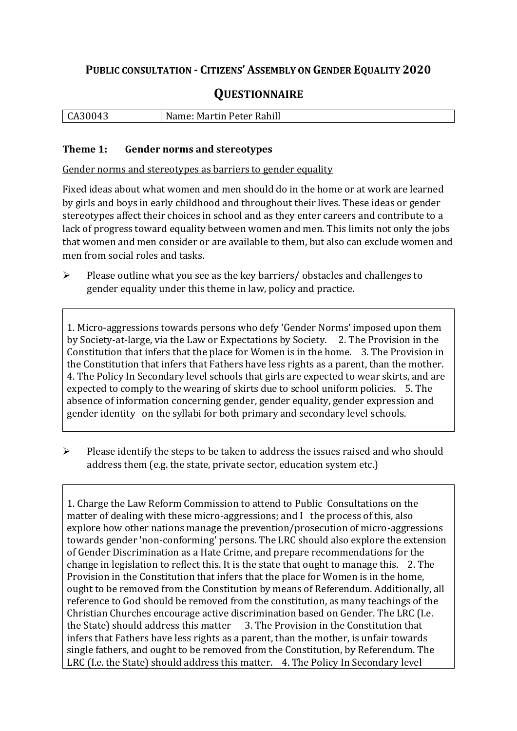## **PUBLIC CONSULTATION - CITIZENS' ASSEMBLY ON GENDER EQUALITY 2020**

# **QUESTIONNAIRE**

| CA30043 | Name: Martin Peter Rahill |
|---------|---------------------------|
|         |                           |

#### **Theme 1: Gender norms and stereotypes**

Gender norms and stereotypes as barriers to gender equality

Fixed ideas about what women and men should do in the home or at work are learned by girls and boys in early childhood and throughout their lives. These ideas or gender stereotypes affect their choices in school and as they enter careers and contribute to a lack of progress toward equality between women and men. This limits not only the jobs that women and men consider or are available to them, but also can exclude women and men from social roles and tasks.

➢ Please outline what you see as the key barriers/ obstacles and challenges to gender equality under this theme in law, policy and practice.

1. Micro-aggressions towards persons who defy 'Gender Norms' imposed upon them by Society-at-large, via the Law or Expectations by Society. 2. The Provision in the Constitution that infers that the place for Women is in the home. 3. The Provision in the Constitution that infers that Fathers have less rights as a parent, than the mother. 4. The Policy In Secondary level schools that girls are expected to wear skirts, and are expected to comply to the wearing of skirts due to school uniform policies. 5. The absence of information concerning gender, gender equality, gender expression and gender identity on the syllabi for both primary and secondary level schools.

➢ Please identify the steps to be taken to address the issues raised and who should address them (e.g. the state, private sector, education system etc.)

1. Charge the Law Reform Commission to attend to Public Consultations on the matter of dealing with these micro-aggressions; and I the process of this, also explore how other nations manage the prevention/prosecution of micro-aggressions towards gender 'non-conforming' persons. The LRC should also explore the extension of Gender Discrimination as a Hate Crime, and prepare recommendations for the change in legislation to reflect this. It is the state that ought to manage this. 2. The Provision in the Constitution that infers that the place for Women is in the home, ought to be removed from the Constitution by means of Referendum. Additionally, all reference to God should be removed from the constitution, as many teachings of the Christian Churches encourage active discrimination based on Gender. The LRC (I.e. the State) should address this matter 3. The Provision in the Constitution that infers that Fathers have less rights as a parent, than the mother, is unfair towards single fathers, and ought to be removed from the Constitution, by Referendum. The LRC (I.e. the State) should address this matter. 4. The Policy In Secondary level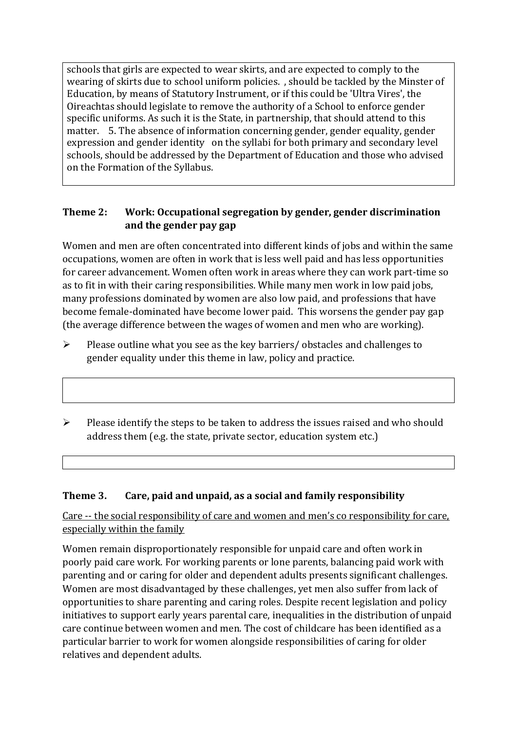schools that girls are expected to wear skirts, and are expected to comply to the wearing of skirts due to school uniform policies. , should be tackled by the Minster of Education, by means of Statutory Instrument, or if this could be 'Ultra Vires', the Oireachtas should legislate to remove the authority of a School to enforce gender specific uniforms. As such it is the State, in partnership, that should attend to this matter. 5. The absence of information concerning gender, gender equality, gender expression and gender identity on the syllabi for both primary and secondary level schools, should be addressed by the Department of Education and those who advised on the Formation of the Syllabus.

## **Theme 2: Work: Occupational segregation by gender, gender discrimination and the gender pay gap**

Women and men are often concentrated into different kinds of jobs and within the same occupations, women are often in work that is less well paid and has less opportunities for career advancement. Women often work in areas where they can work part-time so as to fit in with their caring responsibilities. While many men work in low paid jobs, many professions dominated by women are also low paid, and professions that have become female-dominated have become lower paid. This worsens the gender pay gap (the average difference between the wages of women and men who are working).

- ➢ Please outline what you see as the key barriers/ obstacles and challenges to gender equality under this theme in law, policy and practice.
- $\triangleright$  Please identify the steps to be taken to address the issues raised and who should address them (e.g. the state, private sector, education system etc.)

## **Theme 3. Care, paid and unpaid, as a social and family responsibility**

Care -- the social responsibility of care and women and men's co responsibility for care, especially within the family

Women remain disproportionately responsible for unpaid care and often work in poorly paid care work. For working parents or [lone parents,](https://aran.library.nuigalway.ie/bitstream/handle/10379/6044/Millar_and_Crosse_Activation_Report.pdf?sequence=1&isAllowed=y) balancing paid work with parenting and or caring for older and dependent adults presents significant challenges. Women are [most disadvantaged by these challenges,](https://eige.europa.eu/gender-equality-index/game/IE/W) yet men also suffer from lack of opportunities to share parenting and caring roles. Despite recent legislation and policy initiatives to support early years parental care, [inequalities in the distribution of unpaid](https://www.ihrec.ie/app/uploads/2019/07/Caring-and-Unpaid-Work-in-Ireland_Final.pdf)  [care](https://www.ihrec.ie/app/uploads/2019/07/Caring-and-Unpaid-Work-in-Ireland_Final.pdf) continue between women and men. The cost of childcare has been identified as a particular barrier to work for women alongside responsibilities of caring for older relatives and dependent adults.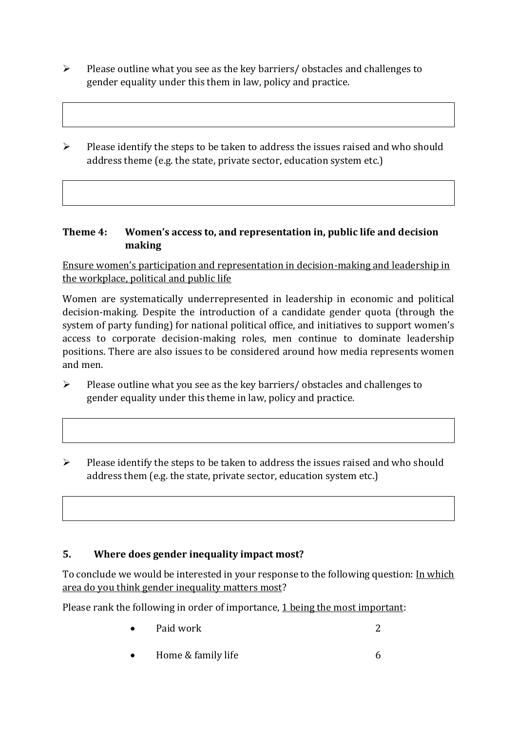- ➢ Please outline what you see as the key barriers/ obstacles and challenges to gender equality under this them in law, policy and practice.
- ➢ Please identify the steps to be taken to address the issues raised and who should address theme (e.g. the state, private sector, education system etc.)

### **Theme 4: Women's access to, and representation in, public life and decision making**

Ensure women's participation and representation in decision-making and leadership in the workplace, political and public life

Women are systematically underrepresented in leadership in [economic](https://eige.europa.eu/gender-equality-index/2019/compare-countries/power/2/bar) and [political](https://eige.europa.eu/gender-equality-index/2019/compare-countries/power/1/bar)  [decision-](https://eige.europa.eu/gender-equality-index/2019/compare-countries/power/1/bar)making. Despite the introduction of a candidate gender quota (through the system of party funding) for national political office, and [initiatives](https://betterbalance.ie/) to support women's access to corporate decision-making roles, men continue to dominate leadership positions. There are also issues to be considered around how media represents women and men.

- ➢ Please outline what you see as the key barriers/ obstacles and challenges to gender equality under this theme in law, policy and practice.
- ➢ Please identify the steps to be taken to address the issues raised and who should address them (e.g. the state, private sector, education system etc.)

## **5. Where does gender inequality impact most?**

To conclude we would be interested in your response to the following question: In which area do you think gender inequality matters most?

Please rank the following in order of importance, 1 being the most important:

- **Paid work** 2
- Home & family life 6